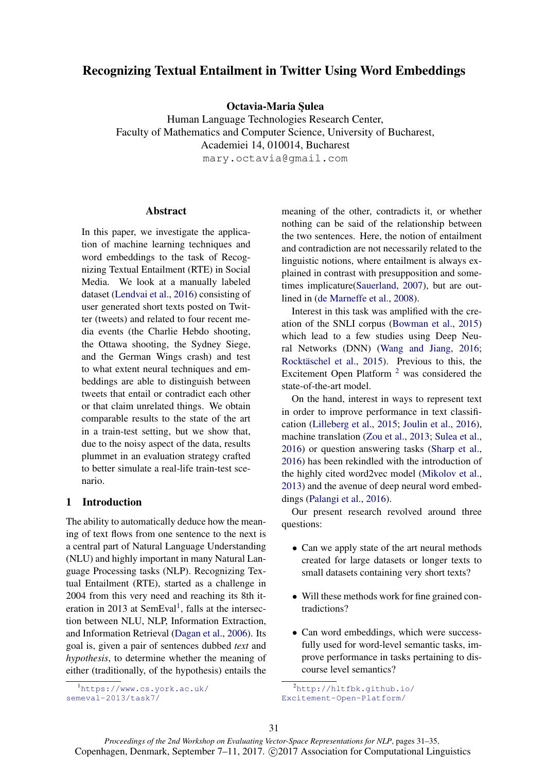# Recognizing Textual Entailment in Twitter Using Word Embeddings

Octavia-Maria Sulea

Human Language Technologies Research Center, Faculty of Mathematics and Computer Science, University of Bucharest, Academiei 14, 010014, Bucharest mary.octavia@gmail.com

**Abstract** 

In this paper, we investigate the application of machine learning techniques and word embeddings to the task of Recognizing Textual Entailment (RTE) in Social Media. We look at a manually labeled dataset (Lendvai et al., 2016) consisting of user generated short texts posted on Twitter (tweets) and related to four recent media events (the Charlie Hebdo shooting, the Ottawa shooting, the Sydney Siege, and the German Wings crash) and test to what extent neural techniques and embeddings are able to distinguish between tweets that entail or contradict each other or that claim unrelated things. We obtain comparable results to the state of the art in a train-test setting, but we show that, due to the noisy aspect of the data, results plummet in an evaluation strategy crafted to better simulate a real-life train-test scenario.

## 1 Introduction

The ability to automatically deduce how the meaning of text flows from one sentence to the next is a central part of Natural Language Understanding (NLU) and highly important in many Natural Language Processing tasks (NLP). Recognizing Textual Entailment (RTE), started as a challenge in 2004 from this very need and reaching its 8th iteration in 2013 at SemEval<sup>1</sup>, falls at the intersection between NLU, NLP, Information Extraction, and Information Retrieval (Dagan et al., 2006). Its goal is, given a pair of sentences dubbed *text* and *hypothesis*, to determine whether the meaning of either (traditionally, of the hypothesis) entails the

<sup>1</sup>https://www.cs.york.ac.uk/ semeval-2013/task7/

meaning of the other, contradicts it, or whether nothing can be said of the relationship between the two sentences. Here, the notion of entailment and contradiction are not necessarily related to the linguistic notions, where entailment is always explained in contrast with presupposition and sometimes implicature(Sauerland, 2007), but are outlined in (de Marneffe et al., 2008).

Interest in this task was amplified with the creation of the SNLI corpus (Bowman et al., 2015) which lead to a few studies using Deep Neural Networks (DNN) (Wang and Jiang, 2016; Rocktäschel et al., 2015). Previous to this, the Excitement Open Platform  $2$  was considered the state-of-the-art model.

On the hand, interest in ways to represent text in order to improve performance in text classification (Lilleberg et al., 2015; Joulin et al., 2016), machine translation (Zou et al., 2013; Sulea et al., 2016) or question answering tasks (Sharp et al., 2016) has been rekindled with the introduction of the highly cited word2vec model (Mikolov et al., 2013) and the avenue of deep neural word embeddings (Palangi et al., 2016).

Our present research revolved around three questions:

- Can we apply state of the art neural methods created for large datasets or longer texts to small datasets containing very short texts?
- Will these methods work for fine grained contradictions?
- Can word embeddings, which were successfully used for word-level semantic tasks, improve performance in tasks pertaining to discourse level semantics?

<sup>2</sup>http://hltfbk.github.io/ Excitement-Open-Platform/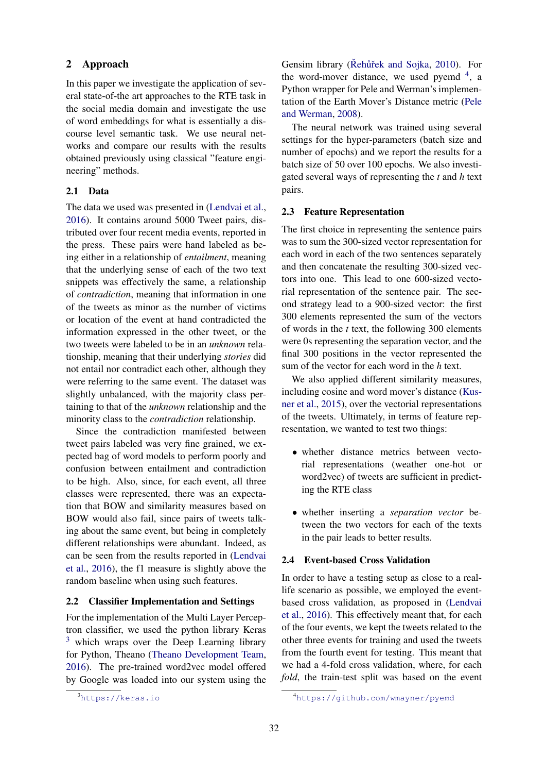## 2 Approach

In this paper we investigate the application of several state-of-the art approaches to the RTE task in the social media domain and investigate the use of word embeddings for what is essentially a discourse level semantic task. We use neural networks and compare our results with the results obtained previously using classical "feature engineering" methods.

### 2.1 Data

The data we used was presented in (Lendvai et al., 2016). It contains around 5000 Tweet pairs, distributed over four recent media events, reported in the press. These pairs were hand labeled as being either in a relationship of *entailment*, meaning that the underlying sense of each of the two text snippets was effectively the same, a relationship of *contradiction*, meaning that information in one of the tweets as minor as the number of victims or location of the event at hand contradicted the information expressed in the other tweet, or the two tweets were labeled to be in an *unknown* relationship, meaning that their underlying *stories* did not entail nor contradict each other, although they were referring to the same event. The dataset was slightly unbalanced, with the majority class pertaining to that of the *unknown* relationship and the minority class to the *contradiction* relationship.

Since the contradiction manifested between tweet pairs labeled was very fine grained, we expected bag of word models to perform poorly and confusion between entailment and contradiction to be high. Also, since, for each event, all three classes were represented, there was an expectation that BOW and similarity measures based on BOW would also fail, since pairs of tweets talking about the same event, but being in completely different relationships were abundant. Indeed, as can be seen from the results reported in (Lendvai et al., 2016), the f1 measure is slightly above the random baseline when using such features.

#### 2.2 Classifier Implementation and Settings

For the implementation of the Multi Layer Perceptron classifier, we used the python library Keras  $3$  which wraps over the Deep Learning library for Python, Theano (Theano Development Team, 2016). The pre-trained word2vec model offered by Google was loaded into our system using the

Gensim library (Řehůřek and Sojka, 2010). For the word-mover distance, we used pyemd  $4$ , a Python wrapper for Pele and Werman's implementation of the Earth Mover's Distance metric (Pele and Werman, 2008).

The neural network was trained using several settings for the hyper-parameters (batch size and number of epochs) and we report the results for a batch size of 50 over 100 epochs. We also investigated several ways of representing the *t* and *h* text pairs.

#### 2.3 Feature Representation

The first choice in representing the sentence pairs was to sum the 300-sized vector representation for each word in each of the two sentences separately and then concatenate the resulting 300-sized vectors into one. This lead to one 600-sized vectorial representation of the sentence pair. The second strategy lead to a 900-sized vector: the first 300 elements represented the sum of the vectors of words in the *t* text, the following 300 elements were 0s representing the separation vector, and the final 300 positions in the vector represented the sum of the vector for each word in the *h* text.

We also applied different similarity measures, including cosine and word mover's distance (Kusner et al., 2015), over the vectorial representations of the tweets. Ultimately, in terms of feature representation, we wanted to test two things:

- whether distance metrics between vectorial representations (weather one-hot or word2vec) of tweets are sufficient in predicting the RTE class
- whether inserting a *separation vector* between the two vectors for each of the texts in the pair leads to better results.

### 2.4 Event-based Cross Validation

In order to have a testing setup as close to a reallife scenario as possible, we employed the eventbased cross validation, as proposed in (Lendvai et al., 2016). This effectively meant that, for each of the four events, we kept the tweets related to the other three events for training and used the tweets from the fourth event for testing. This meant that we had a 4-fold cross validation, where, for each *fold*, the train-test split was based on the event

<sup>3</sup>https://keras.io

<sup>4</sup>https://github.com/wmayner/pyemd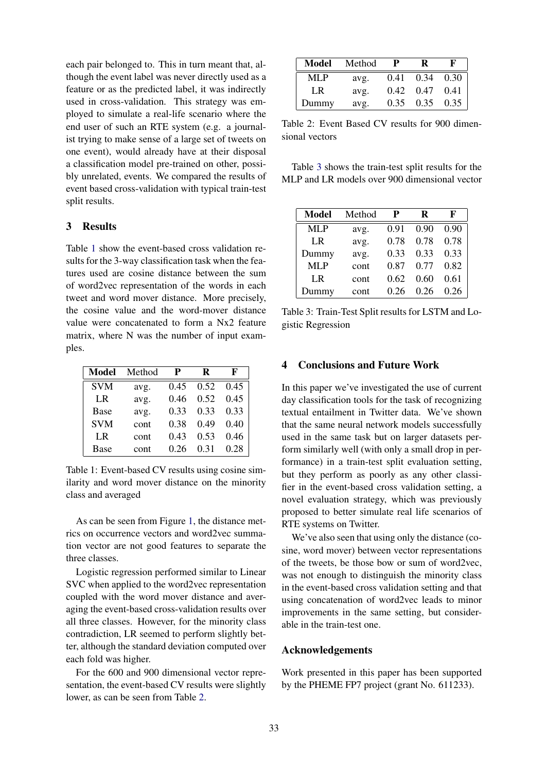each pair belonged to. This in turn meant that, although the event label was never directly used as a feature or as the predicted label, it was indirectly used in cross-validation. This strategy was employed to simulate a real-life scenario where the end user of such an RTE system (e.g. a journalist trying to make sense of a large set of tweets on one event), would already have at their disposal a classification model pre-trained on other, possibly unrelated, events. We compared the results of event based cross-validation with typical train-test split results.

## 3 Results

Table 1 show the event-based cross validation results for the 3-way classification task when the features used are cosine distance between the sum of word2vec representation of the words in each tweet and word mover distance. More precisely, the cosine value and the word-mover distance value were concatenated to form a Nx2 feature matrix, where N was the number of input examples.

| Model       | Method | P    | R    | F    |
|-------------|--------|------|------|------|
| <b>SVM</b>  | avg.   | 0.45 | 0.52 | 0.45 |
| LR.         | avg.   | 0.46 | 0.52 | 0.45 |
| <b>Base</b> | avg.   | 0.33 | 0.33 | 0.33 |
| <b>SVM</b>  | cont   | 0.38 | 0.49 | 0.40 |
| LR.         | cont   | 0.43 | 0.53 | 0.46 |
| <b>Base</b> | cont   | 0.26 | 0.31 | 0.28 |

Table 1: Event-based CV results using cosine similarity and word mover distance on the minority class and averaged

As can be seen from Figure 1, the distance metrics on occurrence vectors and word2vec summation vector are not good features to separate the three classes.

Logistic regression performed similar to Linear SVC when applied to the word2vec representation coupled with the word mover distance and averaging the event-based cross-validation results over all three classes. However, for the minority class contradiction, LR seemed to perform slightly better, although the standard deviation computed over each fold was higher.

For the 600 and 900 dimensional vector representation, the event-based CV results were slightly lower, as can be seen from Table 2.

| Model | Method | р    | R    | F    |
|-------|--------|------|------|------|
| MLP   | avg.   | 0.41 | 0.34 | 0.30 |
| LR.   | avg.   | 0.42 | 0.47 | 0.41 |
| Dummy | avg.   | 0.35 | 0.35 | 0.35 |

Table 2: Event Based CV results for 900 dimensional vectors

Table 3 shows the train-test split results for the MLP and LR models over 900 dimensional vector

| <b>Model</b> | Method | P    | R    | F    |
|--------------|--------|------|------|------|
| <b>MLP</b>   | avg.   | 0.91 | 0.90 | 0.90 |
| LR           | avg.   | 0.78 | 0.78 | 0.78 |
| Dummy        | avg.   | 0.33 | 0.33 | 0.33 |
| <b>MLP</b>   | cont   | 0.87 | 0.77 | 0.82 |
| LR           | cont   | 0.62 | 0.60 | 0.61 |
| Dummy        | cont   | 0.26 | 0.26 | 0.26 |

Table 3: Train-Test Split results for LSTM and Logistic Regression

#### 4 Conclusions and Future Work

In this paper we've investigated the use of current day classification tools for the task of recognizing textual entailment in Twitter data. We've shown that the same neural network models successfully used in the same task but on larger datasets perform similarly well (with only a small drop in performance) in a train-test split evaluation setting, but they perform as poorly as any other classifier in the event-based cross validation setting, a novel evaluation strategy, which was previously proposed to better simulate real life scenarios of RTE systems on Twitter.

We've also seen that using only the distance (cosine, word mover) between vector representations of the tweets, be those bow or sum of word2vec, was not enough to distinguish the minority class in the event-based cross validation setting and that using concatenation of word2vec leads to minor improvements in the same setting, but considerable in the train-test one.

## Acknowledgements

Work presented in this paper has been supported by the PHEME FP7 project (grant No. 611233).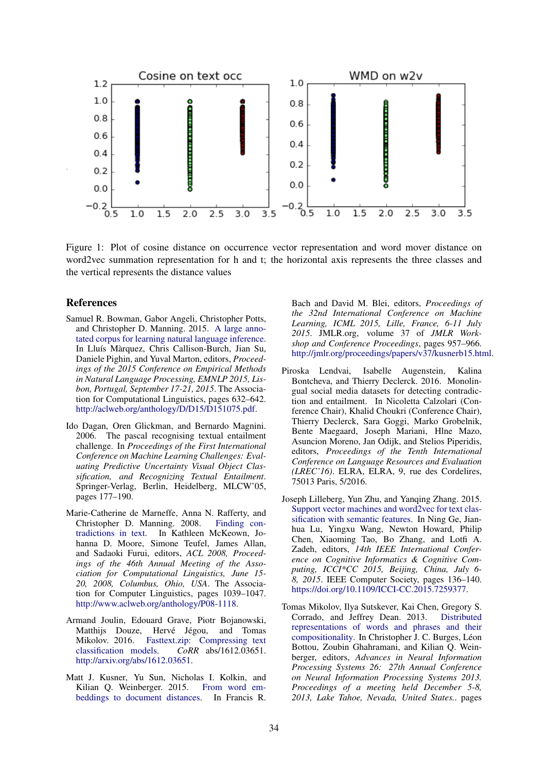

Figure 1: Plot of cosine distance on occurrence vector representation and word mover distance on word2vec summation representation for h and t; the horizontal axis represents the three classes and the vertical represents the distance values

#### References

- Samuel R. Bowman, Gabor Angeli, Christopher Potts, and Christopher D. Manning. 2015. A large annotated corpus for learning natural language inference. In Lluís Màrquez, Chris Callison-Burch, Jian Su, Daniele Pighin, and Yuval Marton, editors, *Proceedings of the 2015 Conference on Empirical Methods in Natural Language Processing, EMNLP 2015, Lisbon, Portugal, September 17-21, 2015*. The Association for Computational Linguistics, pages 632–642. http://aclweb.org/anthology/D/D15/D151075.pdf.
- Ido Dagan, Oren Glickman, and Bernardo Magnini. 2006. The pascal recognising textual entailment challenge. In *Proceedings of the First International Conference on Machine Learning Challenges: Evaluating Predictive Uncertainty Visual Object Classification, and Recognizing Textual Entailment*. Springer-Verlag, Berlin, Heidelberg, MLCW'05, pages 177–190.
- Marie-Catherine de Marneffe, Anna N. Rafferty, and Christopher D. Manning. 2008. Finding contradictions in text. In Kathleen McKeown, Johanna D. Moore, Simone Teufel, James Allan, and Sadaoki Furui, editors, *ACL 2008, Proceedings of the 46th Annual Meeting of the Association for Computational Linguistics, June 15- 20, 2008, Columbus, Ohio, USA*. The Association for Computer Linguistics, pages 1039–1047. http://www.aclweb.org/anthology/P08-1118.
- Armand Joulin, Edouard Grave, Piotr Bojanowski, Matthijs Douze, Hervé Jégou, and Tomas Mikolov. 2016. Fasttext.zip: Compressing text classification models. *CoRR* abs/1612.03651. http://arxiv.org/abs/1612.03651.
- Matt J. Kusner, Yu Sun, Nicholas I. Kolkin, and Kilian Q. Weinberger. 2015. From word embeddings to document distances. In Francis R.

Bach and David M. Blei, editors, *Proceedings of the 32nd International Conference on Machine Learning, ICML 2015, Lille, France, 6-11 July 2015*. JMLR.org, volume 37 of *JMLR Workshop and Conference Proceedings*, pages 957–966. http://jmlr.org/proceedings/papers/v37/kusnerb15.html.

- Piroska Lendvai, Isabelle Augenstein, Kalina Bontcheva, and Thierry Declerck. 2016. Monolingual social media datasets for detecting contradiction and entailment. In Nicoletta Calzolari (Conference Chair), Khalid Choukri (Conference Chair), Thierry Declerck, Sara Goggi, Marko Grobelnik, Bente Maegaard, Joseph Mariani, Hlne Mazo, Asuncion Moreno, Jan Odijk, and Stelios Piperidis, editors, *Proceedings of the Tenth International Conference on Language Resources and Evaluation (LREC'16)*. ELRA, ELRA, 9, rue des Cordelires, 75013 Paris, 5/2016.
- Joseph Lilleberg, Yun Zhu, and Yanqing Zhang. 2015. Support vector machines and word2vec for text classification with semantic features. In Ning Ge, Jianhua Lu, Yingxu Wang, Newton Howard, Philip Chen, Xiaoming Tao, Bo Zhang, and Lotfi A. Zadeh, editors, *14th IEEE International Conference on Cognitive Informatics & Cognitive Computing, ICCI\*CC 2015, Beijing, China, July 6- 8, 2015*. IEEE Computer Society, pages 136–140. https://doi.org/10.1109/ICCI-CC.2015.7259377.
- Tomas Mikolov, Ilya Sutskever, Kai Chen, Gregory S. Corrado, and Jeffrey Dean. 2013. Distributed representations of words and phrases and their compositionality. In Christopher J. C. Burges, Léon Bottou, Zoubin Ghahramani, and Kilian Q. Weinberger, editors, *Advances in Neural Information Processing Systems 26: 27th Annual Conference on Neural Information Processing Systems 2013. Proceedings of a meeting held December 5-8, 2013, Lake Tahoe, Nevada, United States.*. pages